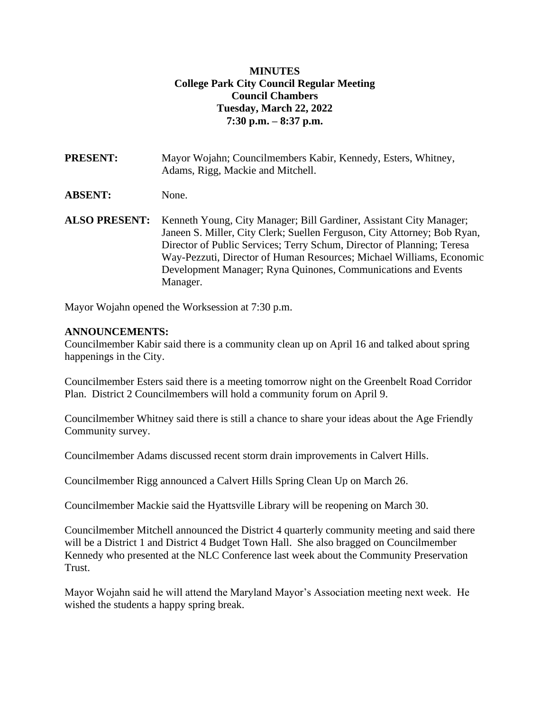### **MINUTES College Park City Council Regular Meeting Council Chambers Tuesday, March 22, 2022 7:30 p.m. – 8:37 p.m.**

**PRESENT:** Mayor Wojahn; Councilmembers Kabir, Kennedy, Esters, Whitney, Adams, Rigg, Mackie and Mitchell.

**ABSENT:** None.

**ALSO PRESENT:** Kenneth Young, City Manager; Bill Gardiner, Assistant City Manager; Janeen S. Miller, City Clerk; Suellen Ferguson, City Attorney; Bob Ryan, Director of Public Services; Terry Schum, Director of Planning; Teresa Way-Pezzuti, Director of Human Resources; Michael Williams, Economic Development Manager; Ryna Quinones, Communications and Events Manager.

Mayor Wojahn opened the Worksession at 7:30 p.m.

### **ANNOUNCEMENTS:**

Councilmember Kabir said there is a community clean up on April 16 and talked about spring happenings in the City.

Councilmember Esters said there is a meeting tomorrow night on the Greenbelt Road Corridor Plan. District 2 Councilmembers will hold a community forum on April 9.

Councilmember Whitney said there is still a chance to share your ideas about the Age Friendly Community survey.

Councilmember Adams discussed recent storm drain improvements in Calvert Hills.

Councilmember Rigg announced a Calvert Hills Spring Clean Up on March 26.

Councilmember Mackie said the Hyattsville Library will be reopening on March 30.

Councilmember Mitchell announced the District 4 quarterly community meeting and said there will be a District 1 and District 4 Budget Town Hall. She also bragged on Councilmember Kennedy who presented at the NLC Conference last week about the Community Preservation Trust.

Mayor Wojahn said he will attend the Maryland Mayor's Association meeting next week. He wished the students a happy spring break.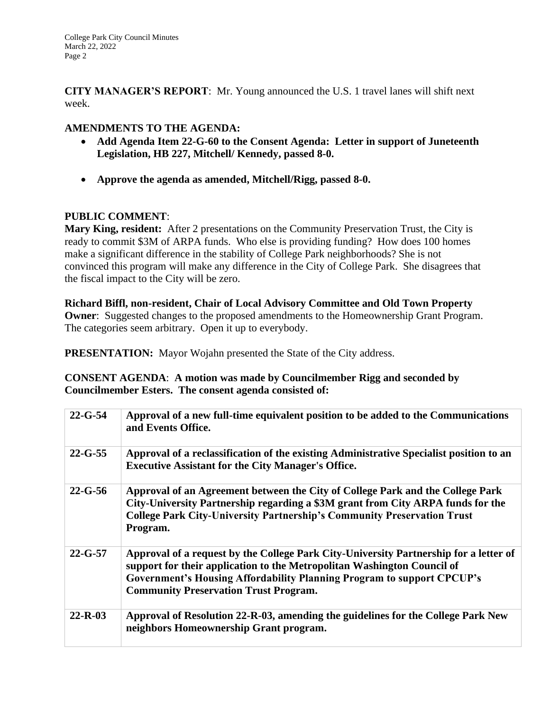**CITY MANAGER'S REPORT**: Mr. Young announced the U.S. 1 travel lanes will shift next week.

# **AMENDMENTS TO THE AGENDA:**

- **Add Agenda Item 22-G-60 to the Consent Agenda: Letter in support of Juneteenth Legislation, HB 227, Mitchell/ Kennedy, passed 8-0.**
- **Approve the agenda as amended, Mitchell/Rigg, passed 8-0.**

# **PUBLIC COMMENT**:

**Mary King, resident:** After 2 presentations on the Community Preservation Trust, the City is ready to commit \$3M of ARPA funds. Who else is providing funding? How does 100 homes make a significant difference in the stability of College Park neighborhoods? She is not convinced this program will make any difference in the City of College Park. She disagrees that the fiscal impact to the City will be zero.

**Richard Biffl, non-resident, Chair of Local Advisory Committee and Old Town Property Owner**: Suggested changes to the proposed amendments to the Homeownership Grant Program. The categories seem arbitrary. Open it up to everybody.

**PRESENTATION:** Mayor Wojahn presented the State of the City address.

**CONSENT AGENDA**: **A motion was made by Councilmember Rigg and seconded by Councilmember Esters. The consent agenda consisted of:**

| $22 - G - 54$ | Approval of a new full-time equivalent position to be added to the Communications<br>and Events Office.                                                                                                                                                                                    |
|---------------|--------------------------------------------------------------------------------------------------------------------------------------------------------------------------------------------------------------------------------------------------------------------------------------------|
| $22 - G - 55$ | Approval of a reclassification of the existing Administrative Specialist position to an<br><b>Executive Assistant for the City Manager's Office.</b>                                                                                                                                       |
| $22 - G - 56$ | Approval of an Agreement between the City of College Park and the College Park<br>City-University Partnership regarding a \$3M grant from City ARPA funds for the<br><b>College Park City-University Partnership's Community Preservation Trust</b><br>Program.                            |
| $22 - G - 57$ | Approval of a request by the College Park City-University Partnership for a letter of<br>support for their application to the Metropolitan Washington Council of<br>Government's Housing Affordability Planning Program to support CPCUP's<br><b>Community Preservation Trust Program.</b> |
| $22 - R - 03$ | Approval of Resolution 22-R-03, amending the guidelines for the College Park New<br>neighbors Homeownership Grant program.                                                                                                                                                                 |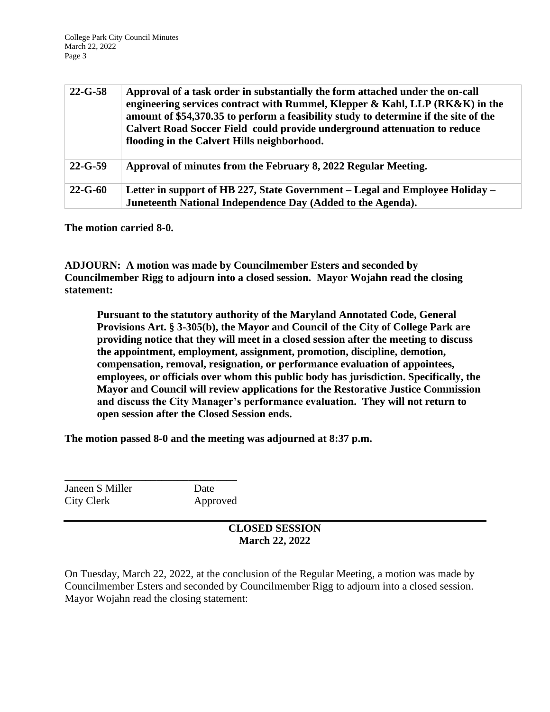| $22 - G - 58$ | Approval of a task order in substantially the form attached under the on-call<br>engineering services contract with Rummel, Klepper & Kahl, LLP $(RK\&K)$ in the<br>amount of \$54,370.35 to perform a feasibility study to determine if the site of the<br>Calvert Road Soccer Field could provide underground attenuation to reduce<br>flooding in the Calvert Hills neighborhood. |
|---------------|--------------------------------------------------------------------------------------------------------------------------------------------------------------------------------------------------------------------------------------------------------------------------------------------------------------------------------------------------------------------------------------|
| $22 - G - 59$ | Approval of minutes from the February 8, 2022 Regular Meeting.                                                                                                                                                                                                                                                                                                                       |
| $22 - G - 60$ | Letter in support of HB 227, State Government – Legal and Employee Holiday –<br>Juneteenth National Independence Day (Added to the Agenda).                                                                                                                                                                                                                                          |

**The motion carried 8-0.**

**ADJOURN: A motion was made by Councilmember Esters and seconded by Councilmember Rigg to adjourn into a closed session. Mayor Wojahn read the closing statement:**

**Pursuant to the statutory authority of the Maryland Annotated Code, General Provisions Art. § 3-305(b), the Mayor and Council of the City of College Park are providing notice that they will meet in a closed session after the meeting to discuss the appointment, employment, assignment, promotion, discipline, demotion, compensation, removal, resignation, or performance evaluation of appointees, employees, or officials over whom this public body has jurisdiction. Specifically, the Mayor and Council will review applications for the Restorative Justice Commission and discuss the City Manager's performance evaluation. They will not return to open session after the Closed Session ends.**

**The motion passed 8-0 and the meeting was adjourned at 8:37 p.m.** 

Janeen S Miller Date City Clerk Approved

\_\_\_\_\_\_\_\_\_\_\_\_\_\_\_\_\_\_\_\_\_\_\_\_\_\_\_\_\_\_\_\_

#### **CLOSED SESSION March 22, 2022**

On Tuesday, March 22, 2022, at the conclusion of the Regular Meeting, a motion was made by Councilmember Esters and seconded by Councilmember Rigg to adjourn into a closed session. Mayor Wojahn read the closing statement: